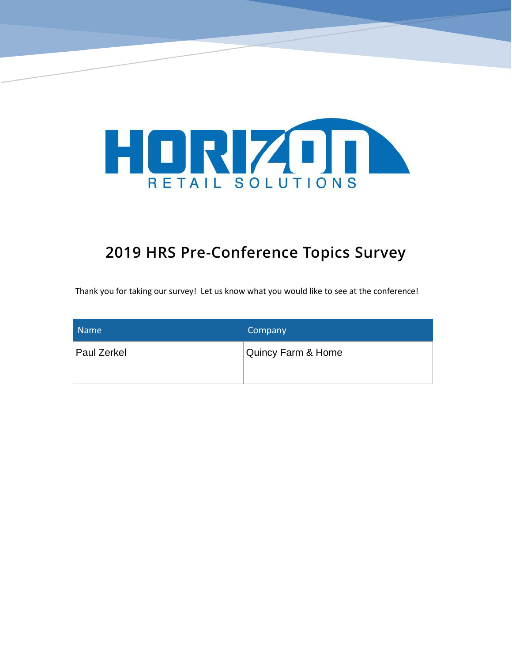

# **2019 HRS Pre-Conference Topics Survey**

Thank you for taking our survey! Let us know what you would like to see at the conference!

| Name               | Company            |
|--------------------|--------------------|
| <b>Paul Zerkel</b> | Quincy Farm & Home |
|                    |                    |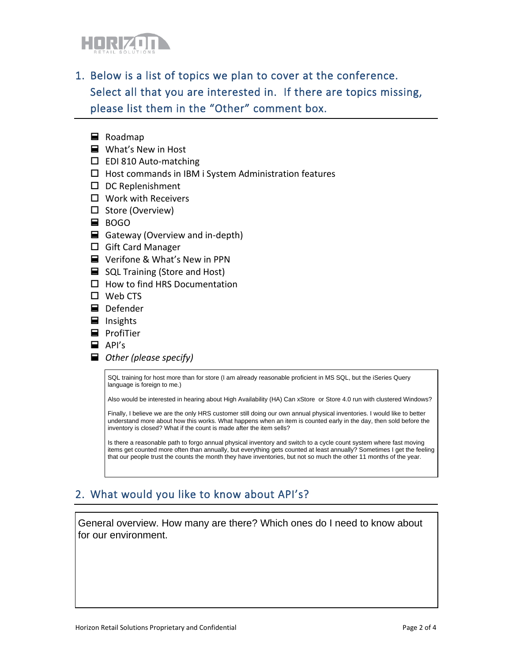

- 1. Below is a list of topics we plan to cover at the conference. Select all that you are interested in. If there are topics missing, please list them in the "Other" comment box.
	- Roadmap
	- What's New in Host
	- $\square$  EDI 810 Auto-matching
	- $\Box$  Host commands in IBM i System Administration features
	- $\square$  DC Replenishment
	- Work with Receivers
	- $\Box$  Store (Overview)
	- BOGO
	- Gateway (Overview and in-depth)
	- $\Box$  Gift Card Manager
	- Verifone & What's New in PPN
	- SQL Training (Store and Host)
	- $\Box$  How to find HRS Documentation
	- □ Web CTS
	- Defender
	- Insights
	- ProfiTier
	- $\blacksquare$  API's
	- *Other (please specify)*

SQL training for host more than for store (I am already reasonable proficient in MS SQL, but the iSeries Query language is foreign to me.)

Also would be interested in hearing about High Availability (HA) Can xStore or Store 4.0 run with clustered Windows?

Finally, I believe we are the only HRS customer still doing our own annual physical inventories. I would like to better understand more about how this works. What happens when an item is counted early in the day, then sold before the inventory is closed? What if the count is made after the item sells?

Is there a reasonable path to forgo annual physical inventory and switch to a cycle count system where fast moving items get counted more often than annually, but everything gets counted at least annually? Sometimes I get the feeling that our people trust the counts the month they have inventories, but not so much the other 11 months of the year.

## 2. What would you like to know about API's?

General overview. How many are there? Which ones do I need to know about for our environment.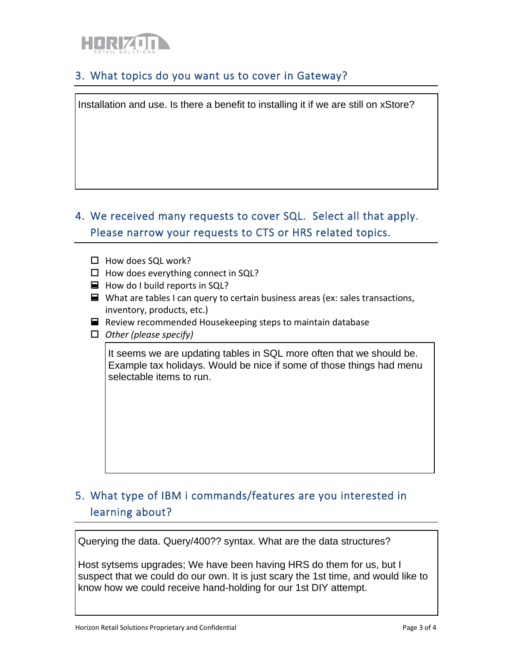

### 3. What topics do you want us to cover in Gateway?

Installation and use. Is there a benefit to installing it if we are still on xStore?

# 4. We received many requests to cover SQL. Select all that apply. Please narrow your requests to CTS or HRS related topics.

- $\Box$  How does SQL work?
- $\Box$  How does everything connect in SQL?
- $\blacksquare$  How do I build reports in SQL?
- $\blacksquare$  What are tables I can query to certain business areas (ex: sales transactions, inventory, products, etc.)
- $\blacksquare$  Review recommended Housekeeping steps to maintain database
- *Other (please specify)*

It seems we are updating tables in SQL more often that we should be. Example tax holidays. Would be nice if some of those things had menu selectable items to run.

## 5. What type of IBM i commands/features are you interested in learning about?

Querying the data. Query/400?? syntax. What are the data structures?

Host sytsems upgrades; We have been having HRS do them for us, but I suspect that we could do our own. It is just scary the 1st time, and would like to know how we could receive hand-holding for our 1st DIY attempt.